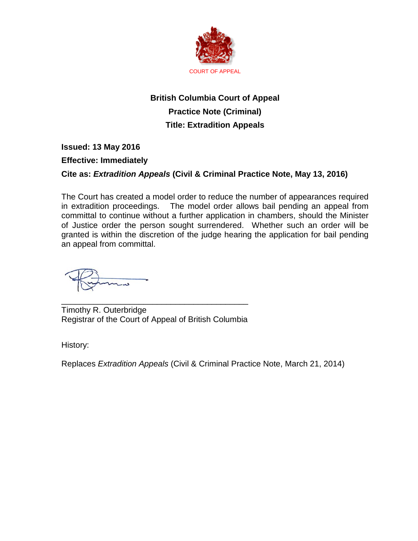

# **British Columbia Court of Appeal Practice Note (Criminal) Title: Extradition Appeals**

### **Issued: 13 May 2016**

### **Effective: Immediately**

## **Cite as:** *Extradition Appeals* **(Civil & Criminal Practice Note, May 13, 2016)**

The Court has created a model order to reduce the number of appearances required in extradition proceedings. The model order allows bail pending an appeal from committal to continue without a further application in chambers, should the Minister of Justice order the person sought surrendered. Whether such an order will be granted is within the discretion of the judge hearing the application for bail pending an appeal from committal.

\_\_\_\_\_\_\_\_\_\_\_\_\_\_\_\_\_\_\_\_\_\_\_\_\_\_\_\_\_\_\_\_\_\_\_\_\_\_\_\_\_ Timothy R. Outerbridge Registrar of the Court of Appeal of British Columbia

History:

Replaces *Extradition Appeals* (Civil & Criminal Practice Note, March 21, 2014)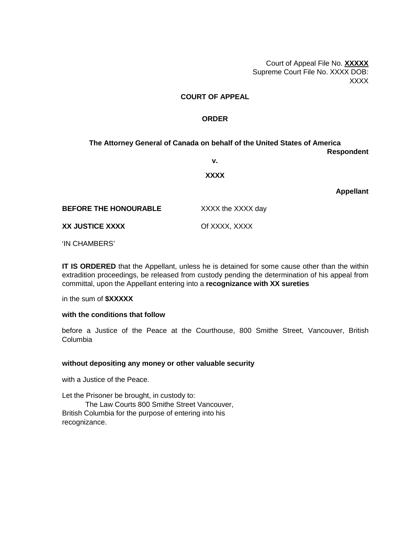Court of Appeal File No. **XXXXX** Supreme Court File No. XXXX DOB: XXXX

#### **COURT OF APPEAL**

#### **ORDER**

**The Attorney General of Canada on behalf of the United States of America Respondent v.**

#### **XXXX**

**Appellant**

| <b>BEFORE THE HONOURABLE</b> | XXXX the XXXX day |
|------------------------------|-------------------|
| XX JUSTICE XXXX              | Of XXXX, XXXX     |

'IN CHAMBERS'

**IT IS ORDERED** that the Appellant, unless he is detained for some cause other than the within extradition proceedings, be released from custody pending the determination of his appeal from committal, upon the Appellant entering into a **recognizance with XX sureties**

in the sum of **\$XXXXX**

#### **with the conditions that follow**

before a Justice of the Peace at the Courthouse, 800 Smithe Street, Vancouver, British Columbia

#### **without depositing any money or other valuable security**

with a Justice of the Peace.

Let the Prisoner be brought, in custody to: The Law Courts 800 Smithe Street Vancouver, British Columbia for the purpose of entering into his recognizance.